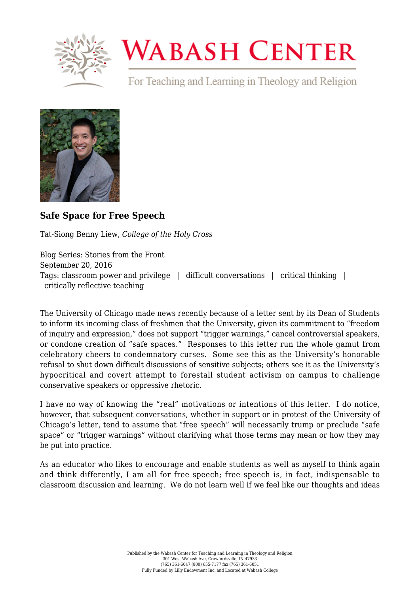

## **WABASH CENTER**

For Teaching and Learning in Theology and Religion



## **[Safe Space for Free Speech](https://www.wabashcenter.wabash.edu/2016/09/safe-space-for-free-speech/)**

Tat-Siong Benny Liew, *College of the Holy Cross*

Blog Series: Stories from the Front September 20, 2016 Tags: classroom power and privilege | difficult conversations | critical thinking | critically reflective teaching

The University of Chicago made news recently because of a letter sent by its Dean of Students to inform its incoming class of freshmen that the University, given its commitment to "freedom of inquiry and expression," does not support "trigger warnings," cancel controversial speakers, or condone creation of "safe spaces." Responses to this letter run the whole gamut from celebratory cheers to condemnatory curses. Some see this as the University's honorable refusal to shut down difficult discussions of sensitive subjects; others see it as the University's hypocritical and covert attempt to forestall student activism on campus to challenge conservative speakers or oppressive rhetoric.

I have no way of knowing the "real" motivations or intentions of this letter. I do notice, however, that subsequent conversations, whether in support or in protest of the University of Chicago's letter, tend to assume that "free speech" will necessarily trump or preclude "safe space" or "trigger warnings" without clarifying what those terms may mean or how they may be put into practice.

As an educator who likes to encourage and enable students as well as myself to think again and think differently, I am all for free speech; free speech is, in fact, indispensable to classroom discussion and learning. We do not learn well if we feel like our thoughts and ideas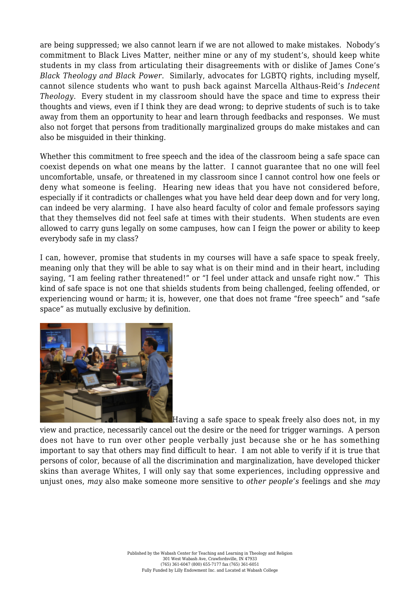are being suppressed; we also cannot learn if we are not allowed to make mistakes. Nobody's commitment to Black Lives Matter, neither mine or any of my student's, should keep white students in my class from articulating their disagreements with or dislike of James Cone's *Black Theology and Black Power*. Similarly, advocates for LGBTQ rights, including myself, cannot silence students who want to push back against Marcella Althaus-Reid's *Indecent Theology*. Every student in my classroom should have the space and time to express their thoughts and views, even if I think they are dead wrong; to deprive students of such is to take away from them an opportunity to hear and learn through feedbacks and responses. We must also not forget that persons from traditionally marginalized groups do make mistakes and can also be misguided in their thinking.

Whether this commitment to free speech and the idea of the classroom being a safe space can coexist depends on what one means by the latter. I cannot guarantee that no one will feel uncomfortable, unsafe, or threatened in my classroom since I cannot control how one feels or deny what someone is feeling. Hearing new ideas that you have not considered before, especially if it contradicts or challenges what you have held dear deep down and for very long, can indeed be very alarming. I have also heard faculty of color and female professors saying that they themselves did not feel safe at times with their students. When students are even allowed to carry guns legally on some campuses, how can I feign the power or ability to keep everybody safe in my class?

I can, however, promise that students in my courses will have a safe space to speak freely, meaning only that they will be able to say what is on their mind and in their heart, including saying, "I am feeling rather threatened!" or "I feel under attack and unsafe right now." This kind of safe space is not one that shields students from being challenged, feeling offended, or experiencing wound or harm; it is, however, one that does not frame "free speech" and "safe space" as mutually exclusive by definition.



Having a safe space to speak freely also does not, in my view and practice, necessarily cancel out the desire or the need for trigger warnings. A person does not have to run over other people verbally just because she or he has something important to say that others may find difficult to hear. I am not able to verify if it is true that persons of color, because of all the discrimination and marginalization, have developed thicker skins than average Whites, I will only say that some experiences, including oppressive and unjust ones, *may* also make someone more sensitive to *other people's* feelings and she *may*